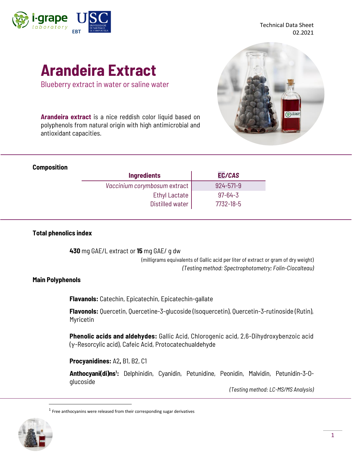

Technical Data Sheet **EBT** DE COMPOSTELA **CONDUCTER CONSUMING SET AND SET AND SET AND SET AND SET AND SET AND SET AND SET AND SET AND SET AND SET AND SET AND SET AND SET AND SET AND SET AND SET AND SET AND SET AND SET AND SET AND SET AND SET** 

# **Arandeira Extract**

Blueberry extract in water or saline water

**Arandeira extract** is a nice reddish color liquid based on polyphenols from natural origin with high antimicrobial and antioxidant capacities.

#### **Composition**

| <b>Ingredients</b>           | EC/CAS          |
|------------------------------|-----------------|
| Vaccinium corymbosum extract | $924 - 571 - 9$ |
| Ethyl Lactate                | $97 - 64 - 3$   |
| Distilled water              | 7732-18-5       |

### **Total phenolics index**

**430** mg GAE/L extract or **15** mg GAE/ g dw

(milligrams equivalents of Gallic acid per liter of extract or gram of dry weight) *(Testing method: Spectrophotometry; Folin-Ciocalteau)*

### **Main Polyphenols**

**Flavanols:** Catechin, Epicatechin, Epicatechin-gallate

**Flavonols:** Quercetin, Quercetine-3-glucoside (Isoquercetin), Quercetin-3-rutinoside (Rutin), Myricetin

**Phenolic acids and aldehydes:** Gallic Acid, Chlorogenic acid, 2,6-Dihydroxybenzoic acid (γ-Resorcylic acid), Cafeic Acid, Protocatechualdehyde

**Procyanidines:** A2**,** B1, B2, C1

**Anthocyani(di)ns<sup>1</sup> :** Delphinidin, Cyanidin, Petunidine, Peonidin, Malvidin, Petunidin-3-Oglucoside

*(Testing method: LC-MS/MS Analysis)*

 $<sup>1</sup>$  Free anthocyanins were released from their corresponding sugar derivatives</sup>

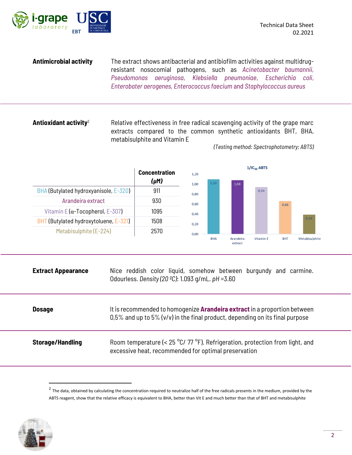



**Antimicrobial activity** The extract shows antibacterial and antibiofilm activities against multidrugresistant nosocomial pathogens, such as *Acinetobacter baumannii, Pseudomonas aeruginosa*, *Klebsiella pneumoniae*, *Escherichia coli*, *Enterobater aerogenes, Enterococcus faecium* and *Staphylococcus aureus*

**Antioxidant activity**<sup>2</sup> Relative effectiveness in free radical scavenging activity of the grape marc extracts compared to the common synthetic antioxidants BHT, BHA, metabisulphite and Vitamin E



*(Testing method: Spectrophotometry; ABTS)*

| <b>Extract Appearance</b> | Nice reddish color liquid, somehow between burgundy and carmine.<br>Odourless. Density (20 °C): 1.093 g/mL. pH = 3.60                                               |
|---------------------------|---------------------------------------------------------------------------------------------------------------------------------------------------------------------|
| <b>Dosage</b>             | It is recommended to homogenize <b>Arandeira extract</b> in a proportion between<br>$0.5\%$ and up to 5% (v/v) in the final product, depending on its final purpose |
| <b>Storage/Handling</b>   | Room temperature (< $25^{\circ}$ C/ 77 °F). Refrigeration, protection from light, and<br>excessive heat, recommended for optimal preservation                       |

 $^2$  The data, obtained by calculating the concentration required to neutralize half of the free radicals presents in the medium, provided by the ABTS reagent, show that the relative efficacy is equivalent to BHA, better than Vit E and much better than that of BHT and metabisulphite